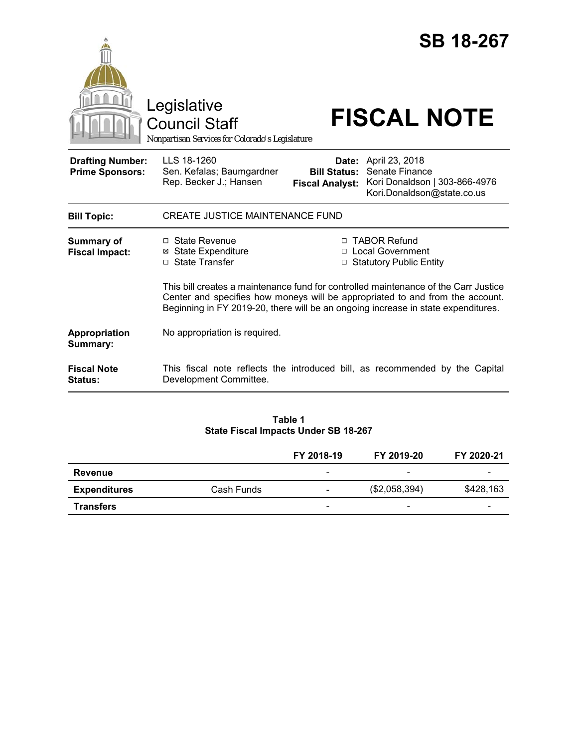|                                                   | Legislative<br><b>Council Staff</b><br>Nonpartisan Services for Colorado's Legislature                                                                                                                                                                    |                                                        | <b>SB 18-267</b><br><b>FISCAL NOTE</b>                                                          |  |  |
|---------------------------------------------------|-----------------------------------------------------------------------------------------------------------------------------------------------------------------------------------------------------------------------------------------------------------|--------------------------------------------------------|-------------------------------------------------------------------------------------------------|--|--|
| <b>Drafting Number:</b><br><b>Prime Sponsors:</b> | LLS 18-1260<br>Sen. Kefalas; Baumgardner<br>Rep. Becker J.; Hansen                                                                                                                                                                                        | Date:<br><b>Bill Status:</b><br><b>Fiscal Analyst:</b> | April 23, 2018<br>Senate Finance<br>Kori Donaldson   303-866-4976<br>Kori.Donaldson@state.co.us |  |  |
| <b>Bill Topic:</b>                                | <b>CREATE JUSTICE MAINTENANCE FUND</b>                                                                                                                                                                                                                    |                                                        |                                                                                                 |  |  |
| <b>Summary of</b><br><b>Fiscal Impact:</b>        | □ State Revenue<br><b>State Expenditure</b><br>⊠<br>□ State Transfer                                                                                                                                                                                      |                                                        | □ TABOR Refund<br>□ Local Government<br>□ Statutory Public Entity                               |  |  |
|                                                   | This bill creates a maintenance fund for controlled maintenance of the Carr Justice<br>Center and specifies how moneys will be appropriated to and from the account.<br>Beginning in FY 2019-20, there will be an ongoing increase in state expenditures. |                                                        |                                                                                                 |  |  |
| Appropriation<br>Summary:                         | No appropriation is required.                                                                                                                                                                                                                             |                                                        |                                                                                                 |  |  |
| <b>Fiscal Note</b><br><b>Status:</b>              | Development Committee.                                                                                                                                                                                                                                    |                                                        | This fiscal note reflects the introduced bill, as recommended by the Capital                    |  |  |

# **Table 1 State Fiscal Impacts Under SB 18-267**

|                     |            | FY 2018-19               | FY 2019-20               | FY 2020-21               |
|---------------------|------------|--------------------------|--------------------------|--------------------------|
| Revenue             |            | -                        | $\overline{\phantom{a}}$ | -                        |
| <b>Expenditures</b> | Cash Funds | -                        | (\$2,058,394)            | \$428,163                |
| <b>Transfers</b>    |            | $\overline{\phantom{0}}$ | $\overline{\phantom{a}}$ | $\overline{\phantom{0}}$ |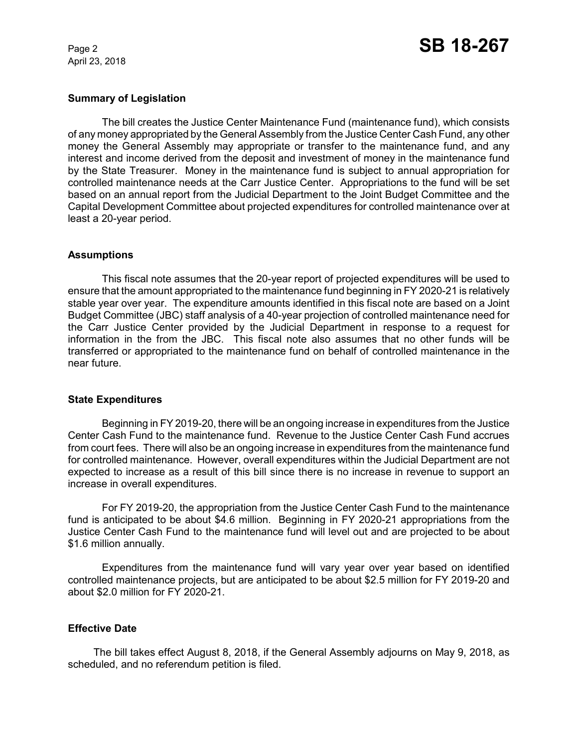April 23, 2018

## **Summary of Legislation**

The bill creates the Justice Center Maintenance Fund (maintenance fund), which consists of any money appropriated by the General Assembly from the Justice Center Cash Fund, any other money the General Assembly may appropriate or transfer to the maintenance fund, and any interest and income derived from the deposit and investment of money in the maintenance fund by the State Treasurer. Money in the maintenance fund is subject to annual appropriation for controlled maintenance needs at the Carr Justice Center. Appropriations to the fund will be set based on an annual report from the Judicial Department to the Joint Budget Committee and the Capital Development Committee about projected expenditures for controlled maintenance over at least a 20-year period.

#### **Assumptions**

This fiscal note assumes that the 20-year report of projected expenditures will be used to ensure that the amount appropriated to the maintenance fund beginning in FY 2020-21 is relatively stable year over year. The expenditure amounts identified in this fiscal note are based on a Joint Budget Committee (JBC) staff analysis of a 40-year projection of controlled maintenance need for the Carr Justice Center provided by the Judicial Department in response to a request for information in the from the JBC. This fiscal note also assumes that no other funds will be transferred or appropriated to the maintenance fund on behalf of controlled maintenance in the near future.

#### **State Expenditures**

Beginning in FY 2019-20, there will be an ongoing increase in expenditures from the Justice Center Cash Fund to the maintenance fund. Revenue to the Justice Center Cash Fund accrues from court fees. There will also be an ongoing increase in expenditures from the maintenance fund for controlled maintenance. However, overall expenditures within the Judicial Department are not expected to increase as a result of this bill since there is no increase in revenue to support an increase in overall expenditures.

For FY 2019-20, the appropriation from the Justice Center Cash Fund to the maintenance fund is anticipated to be about \$4.6 million. Beginning in FY 2020-21 appropriations from the Justice Center Cash Fund to the maintenance fund will level out and are projected to be about \$1.6 million annually.

Expenditures from the maintenance fund will vary year over year based on identified controlled maintenance projects, but are anticipated to be about \$2.5 million for FY 2019-20 and about \$2.0 million for FY 2020-21.

# **Effective Date**

The bill takes effect August 8, 2018, if the General Assembly adjourns on May 9, 2018, as scheduled, and no referendum petition is filed.